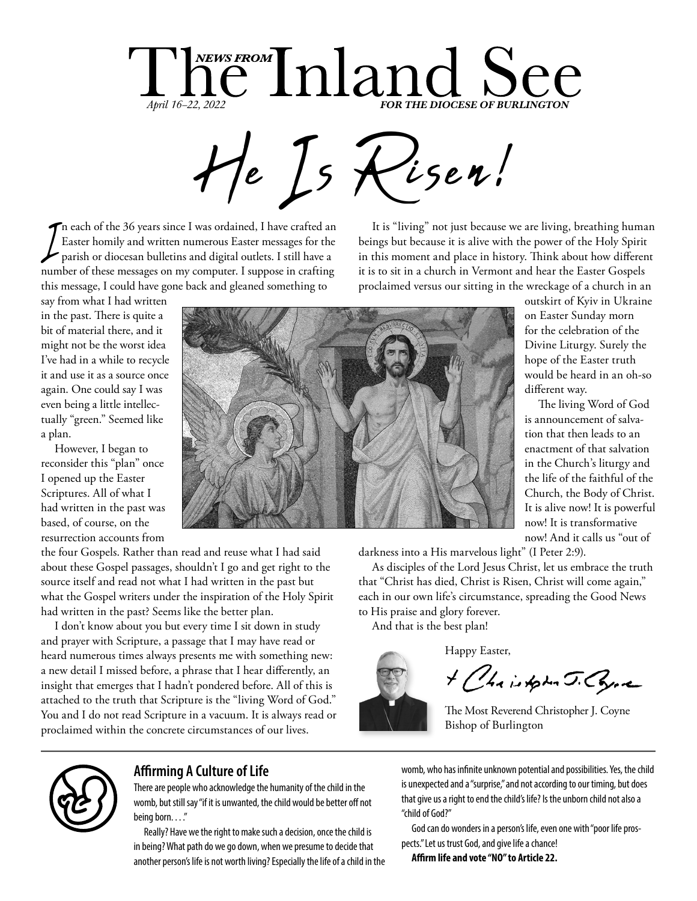

The each of the 36 years since I was ordained, I have crafted an Easter homily and written numerous Easter messages for the parish or diocesan bulletins and digital outlets. I still have a Easter homily and written numerous Easter messages for the parish or diocesan bulletins and digital outlets. I still have a number of these messages on my computer. I suppose in crafting this message, I could have gone back and gleaned something to

say from what I had written in the past. There is quite a bit of material there, and it might not be the worst idea I've had in a while to recycle it and use it as a source once again. One could say I was even being a little intellectually "green." Seemed like a plan.

However, I began to reconsider this "plan" once I opened up the Easter Scriptures. All of what I had written in the past was based, of course, on the resurrection accounts from

the four Gospels. Rather than read and reuse what I had said about these Gospel passages, shouldn't I go and get right to the source itself and read not what I had written in the past but what the Gospel writers under the inspiration of the Holy Spirit had written in the past? Seems like the better plan.

I don't know about you but every time I sit down in study and prayer with Scripture, a passage that I may have read or heard numerous times always presents me with something new: a new detail I missed before, a phrase that I hear differently, an insight that emerges that I hadn't pondered before. All of this is attached to the truth that Scripture is the "living Word of God." You and I do not read Scripture in a vacuum. It is always read or proclaimed within the concrete circumstances of our lives.

It is "living" not just because we are living, breathing human beings but because it is alive with the power of the Holy Spirit in this moment and place in history. Think about how different it is to sit in a church in Vermont and hear the Easter Gospels proclaimed versus our sitting in the wreckage of a church in an



outskirt of Kyiv in Ukraine on Easter Sunday morn for the celebration of the Divine Liturgy. Surely the hope of the Easter truth would be heard in an oh-so different way.

The living Word of God is announcement of salvation that then leads to an enactment of that salvation in the Church's liturgy and the life of the faithful of the Church, the Body of Christ. It is alive now! It is powerful now! It is transformative now! And it calls us "out of

darkness into a His marvelous light" (I Peter 2:9).

As disciples of the Lord Jesus Christ, let us embrace the truth that "Christ has died, Christ is Risen, Christ will come again," each in our own life's circumstance, spreading the Good News to His praise and glory forever.

And that is the best plan!

Happy Easter,

+ Chairpha J. Come

The Most Reverend Christopher J. Coyne Bishop of Burlington



### **Affirming A Culture of Life**

There are people who acknowledge the humanity of the child in the womb, but still say "if it is unwanted, the child would be better off not being born...."

Really? Have we the right to make such a decision, once the child is in being? What path do we go down, when we presume to decide that another person's life is not worth living? Especially the life of a child in the womb, who has infinite unknown potential and possibilities. Yes, the child is unexpected and a "surprise," and not according to our timing, but does that give us a right to end the child's life? Is the unborn child not also a "child of God?"

God can do wonders in a person's life, even one with "poor life prospects." Let us trust God, and give life a chance!

**Affirm life and vote "NO" to Article 22.**